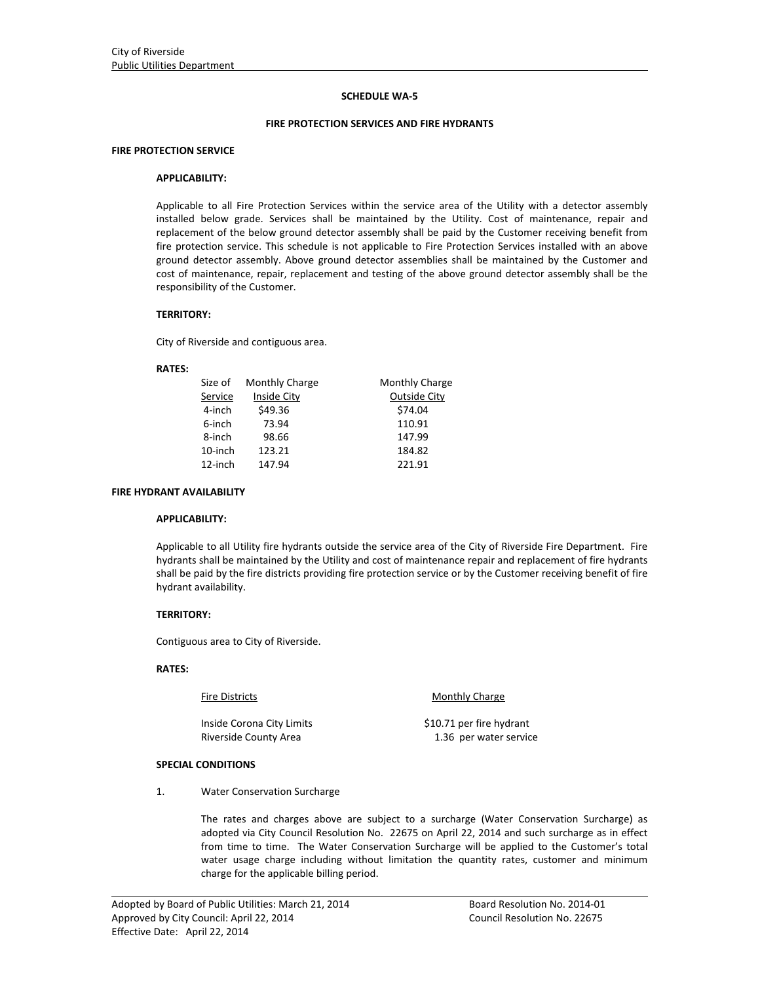## **SCHEDULE WA‐5**

## **FIRE PROTECTION SERVICES AND FIRE HYDRANTS**

## **FIRE PROTECTION SERVICE**

## **APPLICABILITY:**

Applicable to all Fire Protection Services within the service area of the Utility with a detector assembly installed below grade. Services shall be maintained by the Utility. Cost of maintenance, repair and replacement of the below ground detector assembly shall be paid by the Customer receiving benefit from fire protection service. This schedule is not applicable to Fire Protection Services installed with an above ground detector assembly. Above ground detector assemblies shall be maintained by the Customer and cost of maintenance, repair, replacement and testing of the above ground detector assembly shall be the responsibility of the Customer.

#### **TERRITORY:**

City of Riverside and contiguous area.

#### **RATES:**

| Size of | Monthly Charge | Monthly Charge      |
|---------|----------------|---------------------|
| Service | Inside City    | <b>Outside City</b> |
| 4-inch  | \$49.36        | \$74.04             |
| 6-inch  | 73.94          | 110.91              |
| 8-inch  | 98.66          | 147.99              |
| 10-inch | 123.21         | 184.82              |
| 12-inch | 147.94         | 221.91              |

#### **FIRE HYDRANT AVAILABILITY**

#### **APPLICABILITY:**

Applicable to all Utility fire hydrants outside the service area of the City of Riverside Fire Department. Fire hydrants shall be maintained by the Utility and cost of maintenance repair and replacement of fire hydrants shall be paid by the fire districts providing fire protection service or by the Customer receiving benefit of fire hydrant availability.

# **TERRITORY:**

Contiguous area to City of Riverside.

# **RATES:**

Inside Corona City Limits \$10.71 per fire hydrant

Fire Districts **Monthly Charge** 

Riverside County Area 2008 1.36 per water service

# **SPECIAL CONDITIONS**

1. Water Conservation Surcharge

The rates and charges above are subject to a surcharge (Water Conservation Surcharge) as adopted via City Council Resolution No. 22675 on April 22, 2014 and such surcharge as in effect from time to time. The Water Conservation Surcharge will be applied to the Customer's total water usage charge including without limitation the quantity rates, customer and minimum charge for the applicable billing period.

<u> 1989 - Johann Stoff, amerikansk politiker (d. 1989)</u>